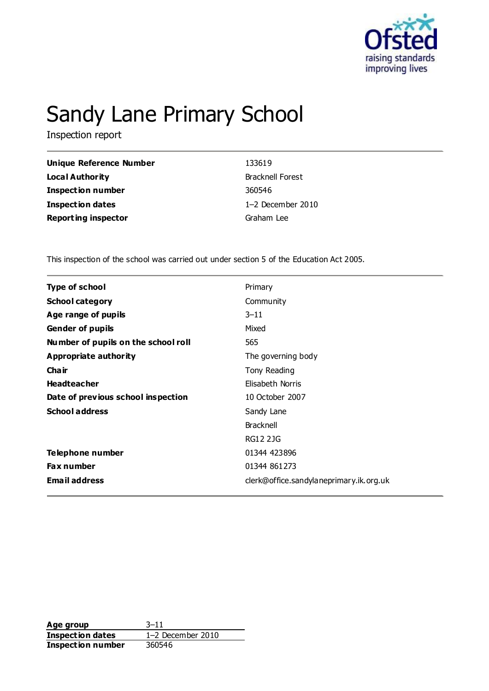

# Sandy Lane Primary School

Inspection report

| <b>Unique Reference Number</b> | 133619         |
|--------------------------------|----------------|
| Local Authority                | <b>Brackne</b> |
| <b>Inspection number</b>       | 360546         |
| Inspection dates               | $1-2$ De       |
| <b>Reporting inspector</b>     | Graham         |
|                                |                |

**Local Authority** Bracknell Forest **Inspection dates** 1–2 December 2010 **Reporting inspector** Graham Lee

This inspection of the school was carried out under section 5 of the Education Act 2005.

| <b>Type of school</b>               | Primary                                 |
|-------------------------------------|-----------------------------------------|
| <b>School category</b>              | Community                               |
| Age range of pupils                 | $3 - 11$                                |
| <b>Gender of pupils</b>             | Mixed                                   |
| Number of pupils on the school roll | 565                                     |
| <b>Appropriate authority</b>        | The governing body                      |
| Cha ir                              | Tony Reading                            |
| <b>Headteacher</b>                  | Elisabeth Norris                        |
| Date of previous school inspection  | 10 October 2007                         |
| <b>School address</b>               | Sandy Lane                              |
|                                     | <b>Bracknell</b>                        |
|                                     | <b>RG12 2JG</b>                         |
| Telephone number                    | 01344 423896                            |
| <b>Fax number</b>                   | 01344 861273                            |
| <b>Email address</b>                | clerk@office.sandylaneprimary.ik.org.uk |

**Age group** 3–11 **Inspection dates** 1–2 December 2010 **Inspection number** 360546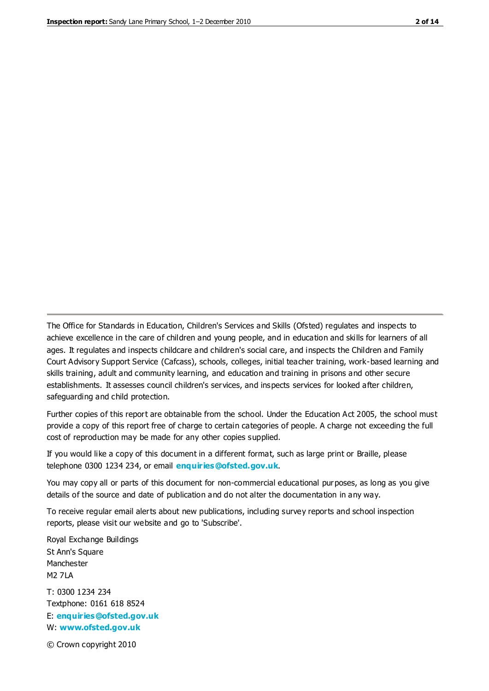The Office for Standards in Education, Children's Services and Skills (Ofsted) regulates and inspects to achieve excellence in the care of children and young people, and in education and skills for learners of all ages. It regulates and inspects childcare and children's social care, and inspects the Children and Family Court Advisory Support Service (Cafcass), schools, colleges, initial teacher training, work-based learning and skills training, adult and community learning, and education and training in prisons and other secure establishments. It assesses council children's services, and inspects services for looked after children, safeguarding and child protection.

Further copies of this report are obtainable from the school. Under the Education Act 2005, the school must provide a copy of this report free of charge to certain categories of people. A charge not exceeding the full cost of reproduction may be made for any other copies supplied.

If you would like a copy of this document in a different format, such as large print or Braille, please telephone 0300 1234 234, or email **[enquiries@ofsted.gov.uk](mailto:enquiries@ofsted.gov.uk)**.

You may copy all or parts of this document for non-commercial educational purposes, as long as you give details of the source and date of publication and do not alter the documentation in any way.

To receive regular email alerts about new publications, including survey reports and school inspection reports, please visit our website and go to 'Subscribe'.

Royal Exchange Buildings St Ann's Square Manchester M2 7LA T: 0300 1234 234 Textphone: 0161 618 8524 E: **[enquiries@ofsted.gov.uk](mailto:enquiries@ofsted.gov.uk)**

W: **[www.ofsted.gov.uk](http://www.ofsted.gov.uk/)**

© Crown copyright 2010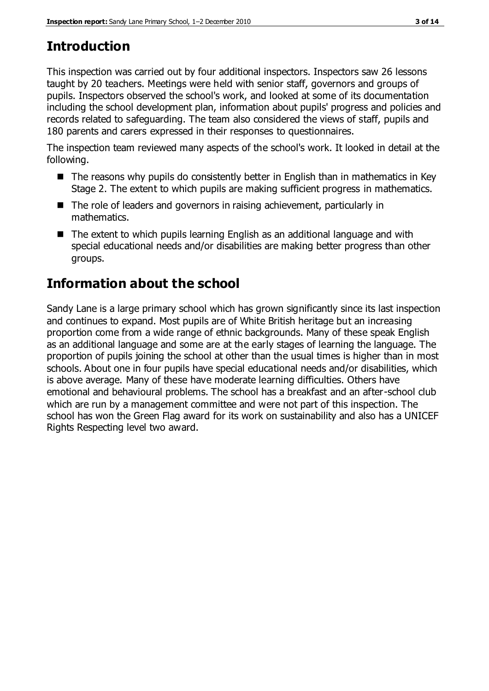# **Introduction**

This inspection was carried out by four additional inspectors. Inspectors saw 26 lessons taught by 20 teachers. Meetings were held with senior staff, governors and groups of pupils. Inspectors observed the school's work, and looked at some of its documentation including the school development plan, information about pupils' progress and policies and records related to safeguarding. The team also considered the views of staff, pupils and 180 parents and carers expressed in their responses to questionnaires.

The inspection team reviewed many aspects of the school's work. It looked in detail at the following.

- The reasons why pupils do consistently better in English than in mathematics in Key Stage 2. The extent to which pupils are making sufficient progress in mathematics.
- The role of leaders and governors in raising achievement, particularly in mathematics.
- The extent to which pupils learning English as an additional language and with special educational needs and/or disabilities are making better progress than other groups.

# **Information about the school**

Sandy Lane is a large primary school which has grown significantly since its last inspection and continues to expand. Most pupils are of White British heritage but an increasing proportion come from a wide range of ethnic backgrounds. Many of these speak English as an additional language and some are at the early stages of learning the language. The proportion of pupils joining the school at other than the usual times is higher than in most schools. About one in four pupils have special educational needs and/or disabilities, which is above average. Many of these have moderate learning difficulties. Others have emotional and behavioural problems. The school has a breakfast and an after-school club which are run by a management committee and were not part of this inspection. The school has won the Green Flag award for its work on sustainability and also has a UNICEF Rights Respecting level two award.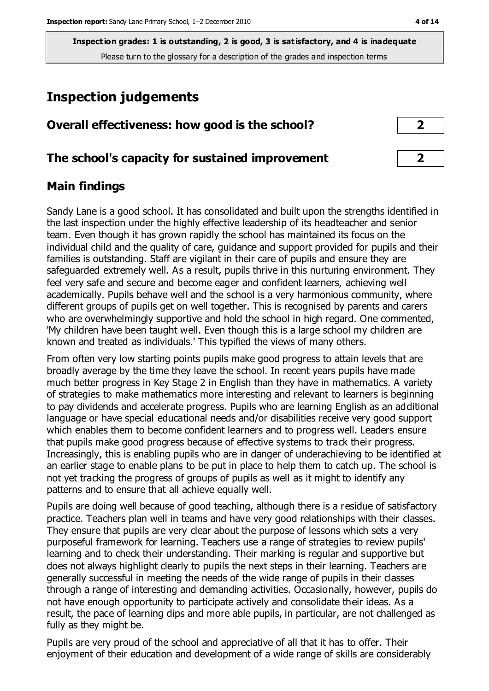# **Inspection judgements**

| Overall effectiveness: how good is the school?  |  |
|-------------------------------------------------|--|
| The school's capacity for sustained improvement |  |

## **Main findings**

Sandy Lane is a good school. It has consolidated and built upon the strengths identified in the last inspection under the highly effective leadership of its headteacher and senior team. Even though it has grown rapidly the school has maintained its focus on the individual child and the quality of care, guidance and support provided for pupils and their families is outstanding. Staff are vigilant in their care of pupils and ensure they are safeguarded extremely well. As a result, pupils thrive in this nurturing environment. They feel very safe and secure and become eager and confident learners, achieving well academically. Pupils behave well and the school is a very harmonious community, where different groups of pupils get on well together. This is recognised by parents and carers who are overwhelmingly supportive and hold the school in high regard. One commented, 'My children have been taught well. Even though this is a large school my children are known and treated as individuals.' This typified the views of many others.

From often very low starting points pupils make good progress to attain levels that are broadly average by the time they leave the school. In recent years pupils have made much better progress in Key Stage 2 in English than they have in mathematics. A variety of strategies to make mathematics more interesting and relevant to learners is beginning to pay dividends and accelerate progress. Pupils who are learning English as an additional language or have special educational needs and/or disabilities receive very good support which enables them to become confident learners and to progress well. Leaders ensure that pupils make good progress because of effective systems to track their progress. Increasingly, this is enabling pupils who are in danger of underachieving to be identified at an earlier stage to enable plans to be put in place to help them to catch up. The school is not yet tracking the progress of groups of pupils as well as it might to identify any patterns and to ensure that all achieve equally well.

Pupils are doing well because of good teaching, although there is a residue of satisfactory practice. Teachers plan well in teams and have very good relationships with their classes. They ensure that pupils are very clear about the purpose of lessons which sets a very purposeful framework for learning. Teachers use a range of strategies to review pupils' learning and to check their understanding. Their marking is regular and supportive but does not always highlight clearly to pupils the next steps in their learning. Teachers are generally successful in meeting the needs of the wide range of pupils in their classes through a range of interesting and demanding activities. Occasionally, however, pupils do not have enough opportunity to participate actively and consolidate their ideas. As a result, the pace of learning dips and more able pupils, in particular, are not challenged as fully as they might be.

Pupils are very proud of the school and appreciative of all that it has to offer. Their enjoyment of their education and development of a wide range of skills are considerably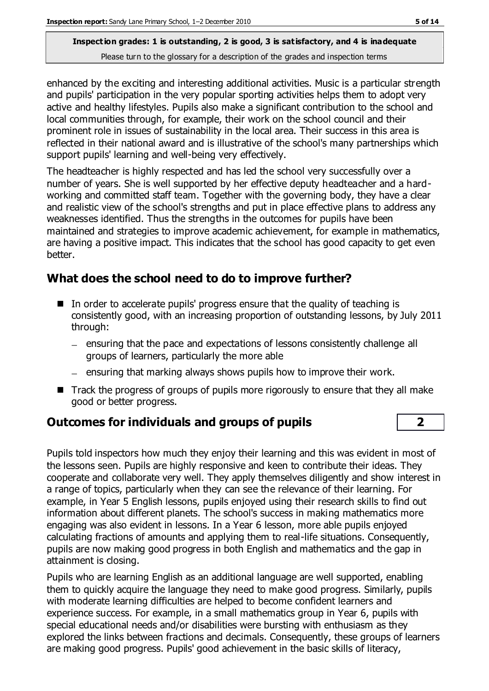enhanced by the exciting and interesting additional activities. Music is a particular strength and pupils' participation in the very popular sporting activities helps them to adopt very active and healthy lifestyles. Pupils also make a significant contribution to the school and local communities through, for example, their work on the school council and their prominent role in issues of sustainability in the local area. Their success in this area is reflected in their national award and is illustrative of the school's many partnerships which support pupils' learning and well-being very effectively.

The headteacher is highly respected and has led the school very successfully over a number of years. She is well supported by her effective deputy headteacher and a hardworking and committed staff team. Together with the governing body, they have a clear and realistic view of the school's strengths and put in place effective plans to address any weaknesses identified. Thus the strengths in the outcomes for pupils have been maintained and strategies to improve academic achievement, for example in mathematics, are having a positive impact. This indicates that the school has good capacity to get even better.

# **What does the school need to do to improve further?**

- In order to accelerate pupils' progress ensure that the quality of teaching is consistently good, with an increasing proportion of outstanding lessons, by July 2011 through:
	- ensuring that the pace and expectations of lessons consistently challenge all groups of learners, particularly the more able
	- $-$  ensuring that marking always shows pupils how to improve their work.
- $\blacksquare$  Track the progress of groups of pupils more rigorously to ensure that they all make good or better progress.

# **Outcomes for individuals and groups of pupils 2**

Pupils told inspectors how much they enjoy their learning and this was evident in most of the lessons seen. Pupils are highly responsive and keen to contribute their ideas. They cooperate and collaborate very well. They apply themselves diligently and show interest in a range of topics, particularly when they can see the relevance of their learning. For example, in Year 5 English lessons, pupils enjoyed using their research skills to find out information about different planets. The school's success in making mathematics more engaging was also evident in lessons. In a Year 6 lesson, more able pupils enjoyed calculating fractions of amounts and applying them to real-life situations. Consequently, pupils are now making good progress in both English and mathematics and the gap in attainment is closing.

Pupils who are learning English as an additional language are well supported, enabling them to quickly acquire the language they need to make good progress. Similarly, pupils with moderate learning difficulties are helped to become confident learners and experience success. For example, in a small mathematics group in Year 6, pupils with special educational needs and/or disabilities were bursting with enthusiasm as they explored the links between fractions and decimals. Consequently, these groups of learners are making good progress. Pupils' good achievement in the basic skills of literacy,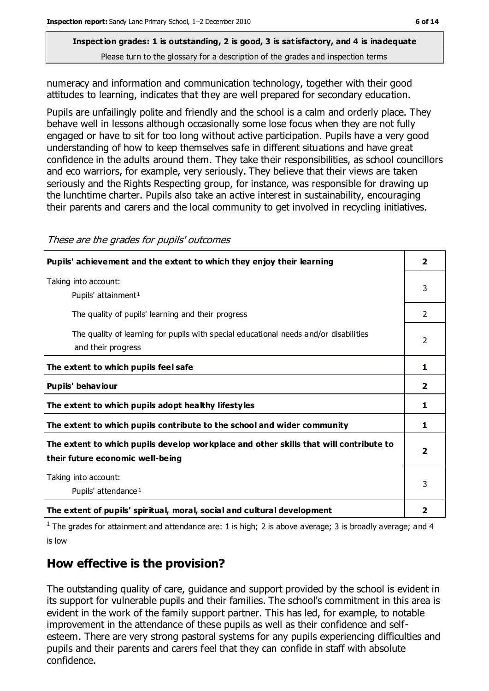numeracy and information and communication technology, together with their good attitudes to learning, indicates that they are well prepared for secondary education.

Pupils are unfailingly polite and friendly and the school is a calm and orderly place. They behave well in lessons although occasionally some lose focus when they are not fully engaged or have to sit for too long without active participation. Pupils have a very good understanding of how to keep themselves safe in different situations and have great confidence in the adults around them. They take their responsibilities, as school councillors and eco warriors, for example, very seriously. They believe that their views are taken seriously and the Rights Respecting group, for instance, was responsible for drawing up the lunchtime charter. Pupils also take an active interest in sustainability, encouraging their parents and carers and the local community to get involved in recycling initiatives.

| Pupils' achievement and the extent to which they enjoy their learning                                                     | $\overline{\mathbf{2}}$ |
|---------------------------------------------------------------------------------------------------------------------------|-------------------------|
| Taking into account:<br>Pupils' attainment <sup>1</sup>                                                                   | 3                       |
| The quality of pupils' learning and their progress                                                                        | 2                       |
| The quality of learning for pupils with special educational needs and/or disabilities<br>and their progress               | 2                       |
| The extent to which pupils feel safe                                                                                      | 1                       |
| Pupils' behaviour                                                                                                         | 2                       |
| The extent to which pupils adopt healthy lifestyles                                                                       | 1                       |
| The extent to which pupils contribute to the school and wider community                                                   | 1                       |
| The extent to which pupils develop workplace and other skills that will contribute to<br>their future economic well-being | $\overline{\mathbf{2}}$ |
| Taking into account:<br>Pupils' attendance <sup>1</sup>                                                                   | 3                       |
| The extent of pupils' spiritual, moral, social and cultural development                                                   | 2                       |

These are the grades for pupils' outcomes

<sup>1</sup> The grades for attainment and attendance are: 1 is high; 2 is above average; 3 is broadly average; and 4 is low

# **How effective is the provision?**

The outstanding quality of care, guidance and support provided by the school is evident in its support for vulnerable pupils and their families. The school's commitment in this area is evident in the work of the family support partner. This has led, for example, to notable improvement in the attendance of these pupils as well as their confidence and selfesteem. There are very strong pastoral systems for any pupils experiencing difficulties and pupils and their parents and carers feel that they can confide in staff with absolute confidence.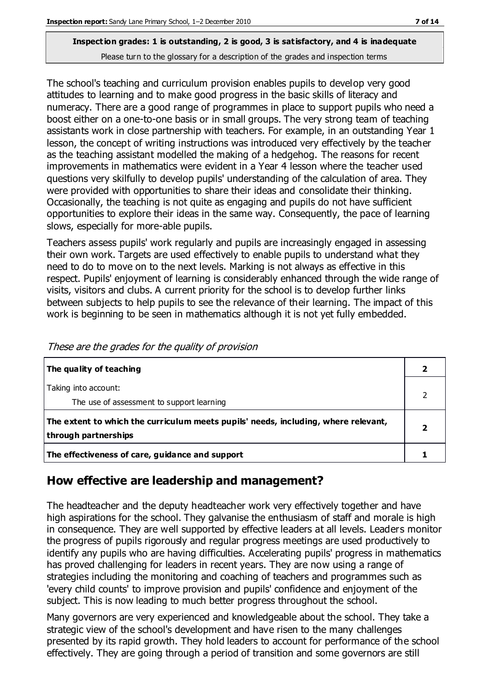The school's teaching and curriculum provision enables pupils to develop very good attitudes to learning and to make good progress in the basic skills of literacy and numeracy. There are a good range of programmes in place to support pupils who need a boost either on a one-to-one basis or in small groups. The very strong team of teaching assistants work in close partnership with teachers. For example, in an outstanding Year 1 lesson, the concept of writing instructions was introduced very effectively by the teacher as the teaching assistant modelled the making of a hedgehog. The reasons for recent improvements in mathematics were evident in a Year 4 lesson where the teacher used questions very skilfully to develop pupils' understanding of the calculation of area. They were provided with opportunities to share their ideas and consolidate their thinking. Occasionally, the teaching is not quite as engaging and pupils do not have sufficient opportunities to explore their ideas in the same way. Consequently, the pace of learning slows, especially for more-able pupils.

Teachers assess pupils' work regularly and pupils are increasingly engaged in assessing their own work. Targets are used effectively to enable pupils to understand what they need to do to move on to the next levels. Marking is not always as effective in this respect. Pupils' enjoyment of learning is considerably enhanced through the wide range of visits, visitors and clubs. A current priority for the school is to develop further links between subjects to help pupils to see the relevance of their learning. The impact of this work is beginning to be seen in mathematics although it is not yet fully embedded.

| The quality of teaching                                                                                    |  |
|------------------------------------------------------------------------------------------------------------|--|
| Taking into account:<br>The use of assessment to support learning                                          |  |
| The extent to which the curriculum meets pupils' needs, including, where relevant,<br>through partnerships |  |
| The effectiveness of care, guidance and support                                                            |  |

These are the grades for the quality of provision

# **How effective are leadership and management?**

The headteacher and the deputy headteacher work very effectively together and have high aspirations for the school. They galvanise the enthusiasm of staff and morale is high in consequence. They are well supported by effective leaders at all levels. Leaders monitor the progress of pupils rigorously and regular progress meetings are used productively to identify any pupils who are having difficulties. Accelerating pupils' progress in mathematics has proved challenging for leaders in recent years. They are now using a range of strategies including the monitoring and coaching of teachers and programmes such as 'every child counts' to improve provision and pupils' confidence and enjoyment of the subject. This is now leading to much better progress throughout the school.

Many governors are very experienced and knowledgeable about the school. They take a strategic view of the school's development and have risen to the many challenges presented by its rapid growth. They hold leaders to account for performance of the school effectively. They are going through a period of transition and some governors are still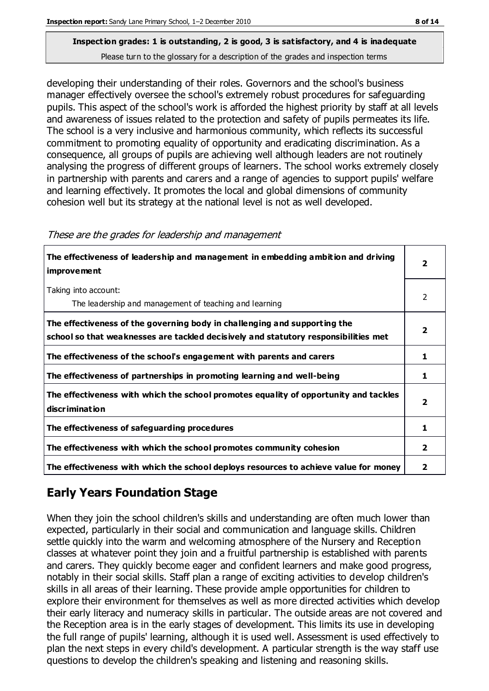developing their understanding of their roles. Governors and the school's business manager effectively oversee the school's extremely robust procedures for safeguarding pupils. This aspect of the school's work is afforded the highest priority by staff at all levels and awareness of issues related to the protection and safety of pupils permeates its life. The school is a very inclusive and harmonious community, which reflects its successful commitment to promoting equality of opportunity and eradicating discrimination. As a consequence, all groups of pupils are achieving well although leaders are not routinely analysing the progress of different groups of learners. The school works extremely closely in partnership with parents and carers and a range of agencies to support pupils' welfare and learning effectively. It promotes the local and global dimensions of community cohesion well but its strategy at the national level is not as well developed.

| The effectiveness of leadership and management in embedding ambition and driving<br><i>improvement</i>                                                           | 2 |
|------------------------------------------------------------------------------------------------------------------------------------------------------------------|---|
| Taking into account:<br>The leadership and management of teaching and learning                                                                                   |   |
| The effectiveness of the governing body in challenging and supporting the<br>school so that weaknesses are tackled decisively and statutory responsibilities met | 7 |
| The effectiveness of the school's engagement with parents and carers                                                                                             | 1 |
| The effectiveness of partnerships in promoting learning and well-being                                                                                           | 1 |
| The effectiveness with which the school promotes equality of opportunity and tackles<br>discrimination                                                           | 7 |
| The effectiveness of safeguarding procedures                                                                                                                     |   |
| The effectiveness with which the school promotes community cohesion                                                                                              | 2 |
| The effectiveness with which the school deploys resources to achieve value for money                                                                             | 2 |

#### These are the grades for leadership and management

# **Early Years Foundation Stage**

When they join the school children's skills and understanding are often much lower than expected, particularly in their social and communication and language skills. Children settle quickly into the warm and welcoming atmosphere of the Nursery and Reception classes at whatever point they join and a fruitful partnership is established with parents and carers. They quickly become eager and confident learners and make good progress, notably in their social skills. Staff plan a range of exciting activities to develop children's skills in all areas of their learning. These provide ample opportunities for children to explore their environment for themselves as well as more directed activities which develop their early literacy and numeracy skills in particular. The outside areas are not covered and the Reception area is in the early stages of development. This limits its use in developing the full range of pupils' learning, although it is used well. Assessment is used effectively to plan the next steps in every child's development. A particular strength is the way staff use questions to develop the children's speaking and listening and reasoning skills.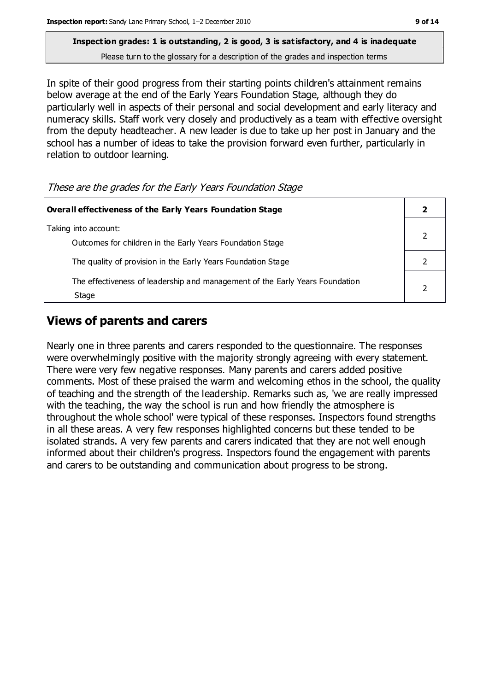In spite of their good progress from their starting points children's attainment remains below average at the end of the Early Years Foundation Stage, although they do particularly well in aspects of their personal and social development and early literacy and numeracy skills. Staff work very closely and productively as a team with effective oversight from the deputy headteacher. A new leader is due to take up her post in January and the school has a number of ideas to take the provision forward even further, particularly in relation to outdoor learning.

These are the grades for the Early Years Foundation Stage

| Overall effectiveness of the Early Years Foundation Stage                             |  |
|---------------------------------------------------------------------------------------|--|
| Taking into account:<br>Outcomes for children in the Early Years Foundation Stage     |  |
| The quality of provision in the Early Years Foundation Stage                          |  |
| The effectiveness of leadership and management of the Early Years Foundation<br>Stage |  |

# **Views of parents and carers**

Nearly one in three parents and carers responded to the questionnaire. The responses were overwhelmingly positive with the majority strongly agreeing with every statement. There were very few negative responses. Many parents and carers added positive comments. Most of these praised the warm and welcoming ethos in the school, the quality of teaching and the strength of the leadership. Remarks such as, 'we are really impressed with the teaching, the way the school is run and how friendly the atmosphere is throughout the whole school' were typical of these responses. Inspectors found strengths in all these areas. A very few responses highlighted concerns but these tended to be isolated strands. A very few parents and carers indicated that they are not well enough informed about their children's progress. Inspectors found the engagement with parents and carers to be outstanding and communication about progress to be strong.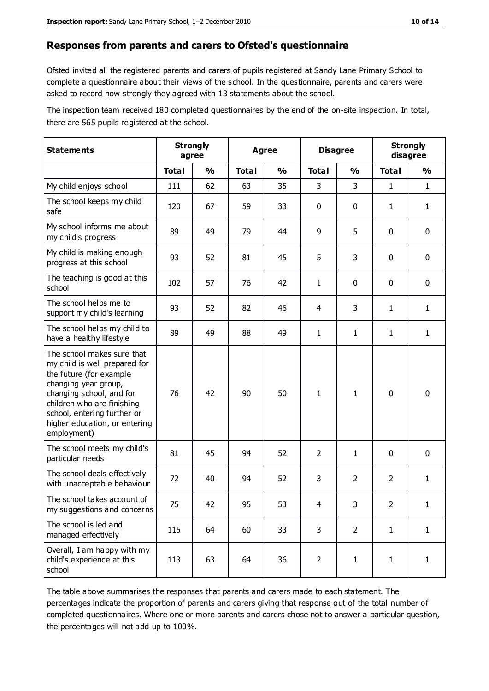#### **Responses from parents and carers to Ofsted's questionnaire**

Ofsted invited all the registered parents and carers of pupils registered at Sandy Lane Primary School to complete a questionnaire about their views of the school. In the questionnaire, parents and carers were asked to record how strongly they agreed with 13 statements about the school.

The inspection team received 180 completed questionnaires by the end of the on-site inspection. In total, there are 565 pupils registered at the school.

| <b>Statements</b>                                                                                                                                                                                                                                       | <b>Strongly</b><br>agree |               | Agree        |               | <b>Disagree</b> |                | <b>Strongly</b><br>disagree |              |
|---------------------------------------------------------------------------------------------------------------------------------------------------------------------------------------------------------------------------------------------------------|--------------------------|---------------|--------------|---------------|-----------------|----------------|-----------------------------|--------------|
|                                                                                                                                                                                                                                                         | <b>Total</b>             | $\frac{0}{0}$ | <b>Total</b> | $\frac{0}{0}$ | <b>Total</b>    | $\frac{0}{0}$  | <b>Total</b>                | %            |
| My child enjoys school                                                                                                                                                                                                                                  | 111                      | 62            | 63           | 35            | 3               | 3              | $\mathbf{1}$                | $\mathbf{1}$ |
| The school keeps my child<br>safe                                                                                                                                                                                                                       | 120                      | 67            | 59           | 33            | 0               | 0              | 1                           | $\mathbf{1}$ |
| My school informs me about<br>my child's progress                                                                                                                                                                                                       | 89                       | 49            | 79           | 44            | 9               | 5              | $\mathbf 0$                 | $\mathbf 0$  |
| My child is making enough<br>progress at this school                                                                                                                                                                                                    | 93                       | 52            | 81           | 45            | 5               | 3              | $\mathbf 0$                 | $\mathbf 0$  |
| The teaching is good at this<br>school                                                                                                                                                                                                                  | 102                      | 57            | 76           | 42            | $\mathbf{1}$    | 0              | $\mathbf 0$                 | $\mathbf 0$  |
| The school helps me to<br>support my child's learning                                                                                                                                                                                                   | 93                       | 52            | 82           | 46            | 4               | 3              | 1                           | $\mathbf{1}$ |
| The school helps my child to<br>have a healthy lifestyle                                                                                                                                                                                                | 89                       | 49            | 88           | 49            | 1               | $\mathbf{1}$   | 1                           | $\mathbf{1}$ |
| The school makes sure that<br>my child is well prepared for<br>the future (for example<br>changing year group,<br>changing school, and for<br>children who are finishing<br>school, entering further or<br>higher education, or entering<br>employment) | 76                       | 42            | 90           | 50            | 1               | 1              | $\mathbf 0$                 | $\mathbf 0$  |
| The school meets my child's<br>particular needs                                                                                                                                                                                                         | 81                       | 45            | 94           | 52            | $\overline{2}$  | $\mathbf{1}$   | $\mathbf 0$                 | $\mathbf 0$  |
| The school deals effectively<br>with unacceptable behaviour                                                                                                                                                                                             | 72                       | 40            | 94           | 52            | 3               | $\overline{2}$ | 2                           | $\mathbf{1}$ |
| The school takes account of<br>my suggestions and concerns                                                                                                                                                                                              | 75                       | 42            | 95           | 53            | 4               | 3              | $\overline{2}$              | 1            |
| The school is led and<br>managed effectively                                                                                                                                                                                                            | 115                      | 64            | 60           | 33            | 3               | $\overline{2}$ | $\mathbf{1}$                | $\mathbf{1}$ |
| Overall, I am happy with my<br>child's experience at this<br>school                                                                                                                                                                                     | 113                      | 63            | 64           | 36            | $\overline{2}$  | $\mathbf{1}$   | $\mathbf{1}$                | $\mathbf{1}$ |

The table above summarises the responses that parents and carers made to each statement. The percentages indicate the proportion of parents and carers giving that response out of the total number of completed questionnaires. Where one or more parents and carers chose not to answer a particular question, the percentages will not add up to 100%.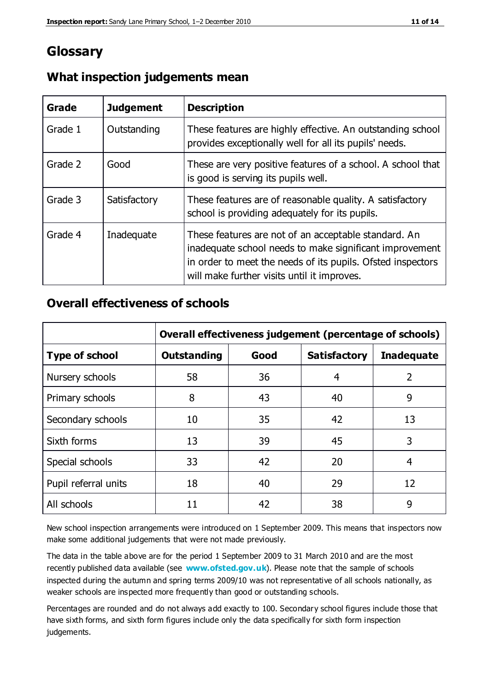# **Glossary**

| Grade   | <b>Judgement</b> | <b>Description</b>                                                                                                                                                                                                            |
|---------|------------------|-------------------------------------------------------------------------------------------------------------------------------------------------------------------------------------------------------------------------------|
| Grade 1 | Outstanding      | These features are highly effective. An outstanding school<br>provides exceptionally well for all its pupils' needs.                                                                                                          |
| Grade 2 | Good             | These are very positive features of a school. A school that<br>is good is serving its pupils well.                                                                                                                            |
| Grade 3 | Satisfactory     | These features are of reasonable quality. A satisfactory<br>school is providing adequately for its pupils.                                                                                                                    |
| Grade 4 | Inadequate       | These features are not of an acceptable standard. An<br>inadequate school needs to make significant improvement<br>in order to meet the needs of its pupils. Ofsted inspectors<br>will make further visits until it improves. |

## **What inspection judgements mean**

## **Overall effectiveness of schools**

|                       | Overall effectiveness judgement (percentage of schools) |      |                     |                   |
|-----------------------|---------------------------------------------------------|------|---------------------|-------------------|
| <b>Type of school</b> | <b>Outstanding</b>                                      | Good | <b>Satisfactory</b> | <b>Inadequate</b> |
| Nursery schools       | 58                                                      | 36   | 4                   | 2                 |
| Primary schools       | 8                                                       | 43   | 40                  | 9                 |
| Secondary schools     | 10                                                      | 35   | 42                  | 13                |
| Sixth forms           | 13                                                      | 39   | 45                  | 3                 |
| Special schools       | 33                                                      | 42   | 20                  | 4                 |
| Pupil referral units  | 18                                                      | 40   | 29                  | 12                |
| All schools           | 11                                                      | 42   | 38                  | 9                 |

New school inspection arrangements were introduced on 1 September 2009. This means that inspectors now make some additional judgements that were not made previously.

The data in the table above are for the period 1 September 2009 to 31 March 2010 and are the most recently published data available (see **[www.ofsted.gov.uk](http://www.ofsted.gov.uk/)**). Please note that the sample of schools inspected during the autumn and spring terms 2009/10 was not representative of all schools nationally, as weaker schools are inspected more frequently than good or outstanding schools.

Percentages are rounded and do not always add exactly to 100. Secondary school figures include those that have sixth forms, and sixth form figures include only the data specifically for sixth form inspection judgements.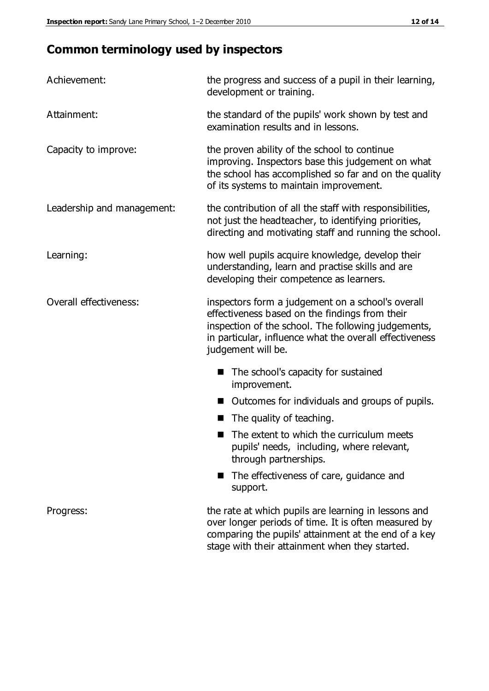# **Common terminology used by inspectors**

| Achievement:                  | the progress and success of a pupil in their learning,<br>development or training.                                                                                                                                                          |  |
|-------------------------------|---------------------------------------------------------------------------------------------------------------------------------------------------------------------------------------------------------------------------------------------|--|
| Attainment:                   | the standard of the pupils' work shown by test and<br>examination results and in lessons.                                                                                                                                                   |  |
| Capacity to improve:          | the proven ability of the school to continue<br>improving. Inspectors base this judgement on what<br>the school has accomplished so far and on the quality<br>of its systems to maintain improvement.                                       |  |
| Leadership and management:    | the contribution of all the staff with responsibilities,<br>not just the headteacher, to identifying priorities,<br>directing and motivating staff and running the school.                                                                  |  |
| Learning:                     | how well pupils acquire knowledge, develop their<br>understanding, learn and practise skills and are<br>developing their competence as learners.                                                                                            |  |
| <b>Overall effectiveness:</b> | inspectors form a judgement on a school's overall<br>effectiveness based on the findings from their<br>inspection of the school. The following judgements,<br>in particular, influence what the overall effectiveness<br>judgement will be. |  |
|                               | The school's capacity for sustained<br>improvement.                                                                                                                                                                                         |  |
|                               | Outcomes for individuals and groups of pupils.                                                                                                                                                                                              |  |
|                               | The quality of teaching.                                                                                                                                                                                                                    |  |
|                               | The extent to which the curriculum meets<br>pupils' needs, including, where relevant,<br>through partnerships.                                                                                                                              |  |
|                               | The effectiveness of care, guidance and<br>support.                                                                                                                                                                                         |  |
| Progress:                     | the rate at which pupils are learning in lessons and<br>over longer periods of time. It is often measured by<br>comparing the pupils' attainment at the end of a key                                                                        |  |

stage with their attainment when they started.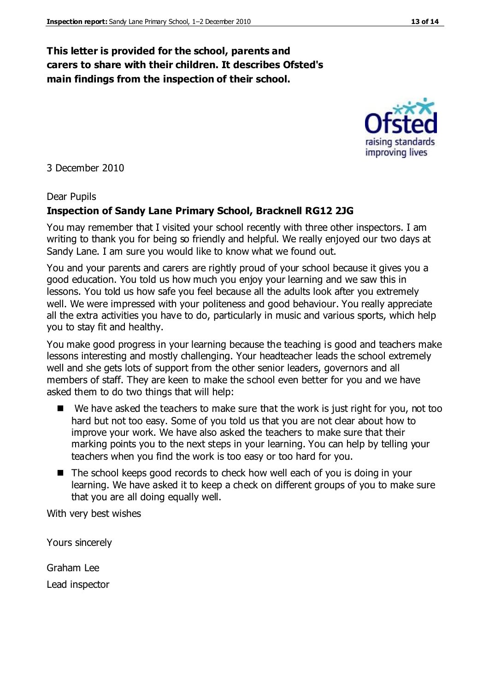### **This letter is provided for the school, parents and carers to share with their children. It describes Ofsted's main findings from the inspection of their school.**

3 December 2010

#### Dear Pupils

#### **Inspection of Sandy Lane Primary School, Bracknell RG12 2JG**

You may remember that I visited your school recently with three other inspectors. I am writing to thank you for being so friendly and helpful. We really enjoyed our two days at Sandy Lane. I am sure you would like to know what we found out.

You and your parents and carers are rightly proud of your school because it gives you a good education. You told us how much you enjoy your learning and we saw this in lessons. You told us how safe you feel because all the adults look after you extremely well. We were impressed with your politeness and good behaviour. You really appreciate all the extra activities you have to do, particularly in music and various sports, which help you to stay fit and healthy.

You make good progress in your learning because the teaching is good and teachers make lessons interesting and mostly challenging. Your headteacher leads the school extremely well and she gets lots of support from the other senior leaders, governors and all members of staff. They are keen to make the school even better for you and we have asked them to do two things that will help:

- $\blacksquare$  We have asked the teachers to make sure that the work is just right for you, not too hard but not too easy. Some of you told us that you are not clear about how to improve your work. We have also asked the teachers to make sure that their marking points you to the next steps in your learning. You can help by telling your teachers when you find the work is too easy or too hard for you.
- The school keeps good records to check how well each of you is doing in your learning. We have asked it to keep a check on different groups of you to make sure that you are all doing equally well.

With very best wishes

Yours sincerely

Graham Lee Lead inspector